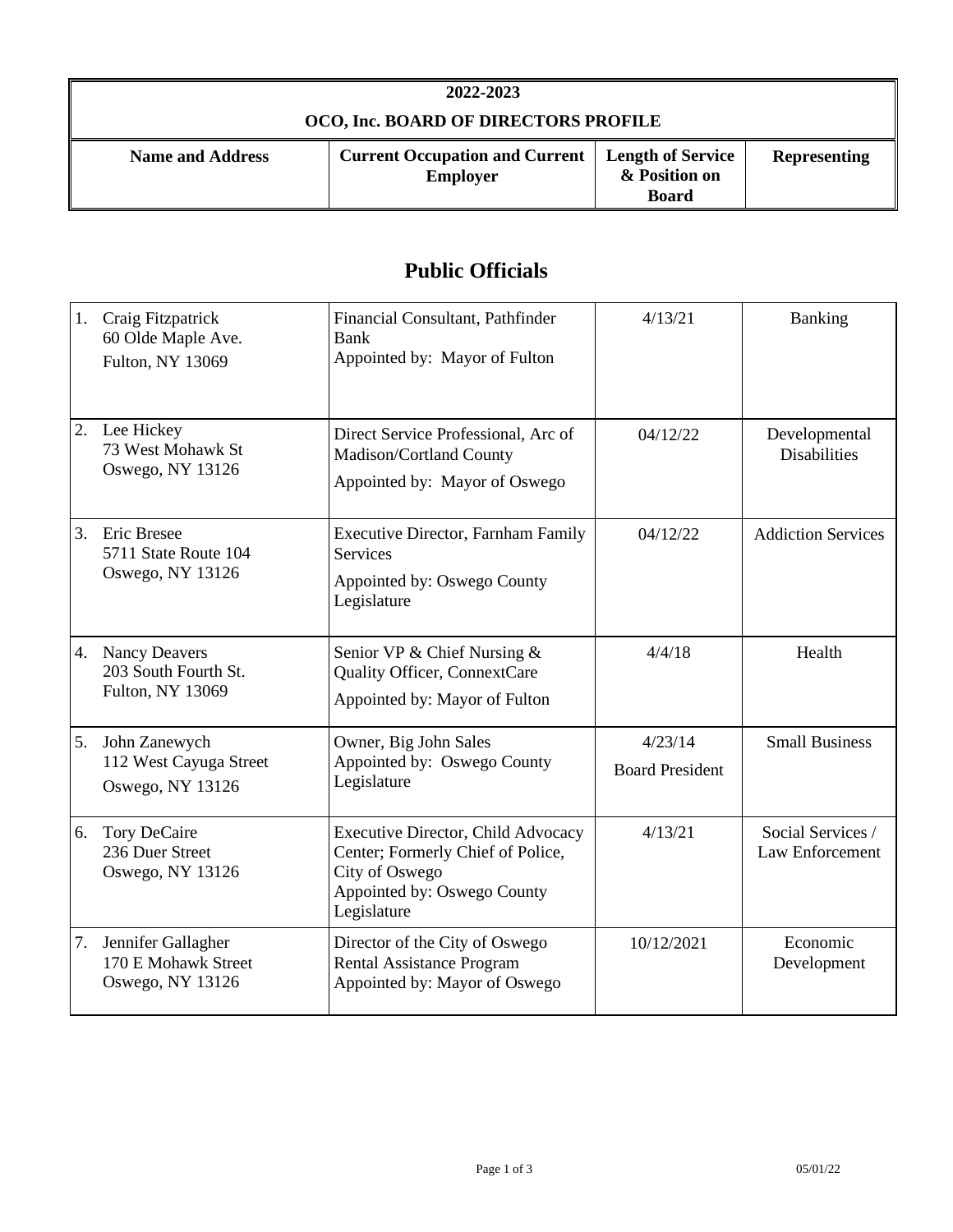| 2022-2023                            |                                                                              |                               |                     |
|--------------------------------------|------------------------------------------------------------------------------|-------------------------------|---------------------|
| OCO, Inc. BOARD OF DIRECTORS PROFILE |                                                                              |                               |                     |
| <b>Name and Address</b>              | <b>Current Occupation and Current   Length of Service</b><br><b>Employer</b> | & Position on<br><b>Board</b> | <b>Representing</b> |

## **Public Officials**

| 1. | Craig Fitzpatrick<br>60 Olde Maple Ave.<br>Fulton, NY 13069      | Financial Consultant, Pathfinder<br>Bank<br>Appointed by: Mayor of Fulton                                                                      | 4/13/21                           | <b>Banking</b>                       |
|----|------------------------------------------------------------------|------------------------------------------------------------------------------------------------------------------------------------------------|-----------------------------------|--------------------------------------|
| 2. | Lee Hickey<br>73 West Mohawk St<br>Oswego, NY 13126              | Direct Service Professional, Arc of<br>Madison/Cortland County<br>Appointed by: Mayor of Oswego                                                | 04/12/22                          | Developmental<br><b>Disabilities</b> |
| 3. | Eric Bresee<br>5711 State Route 104<br>Oswego, NY 13126          | <b>Executive Director, Farnham Family</b><br>Services<br>Appointed by: Oswego County<br>Legislature                                            | 04/12/22                          | <b>Addiction Services</b>            |
| 4. | <b>Nancy Deavers</b><br>203 South Fourth St.<br>Fulton, NY 13069 | Senior VP & Chief Nursing &<br>Quality Officer, ConnextCare<br>Appointed by: Mayor of Fulton                                                   | 4/4/18                            | Health                               |
| 5. | John Zanewych<br>112 West Cayuga Street<br>Oswego, NY 13126      | Owner, Big John Sales<br>Appointed by: Oswego County<br>Legislature                                                                            | 4/23/14<br><b>Board President</b> | <b>Small Business</b>                |
| 6. | <b>Tory DeCaire</b><br>236 Duer Street<br>Oswego, NY 13126       | <b>Executive Director, Child Advocacy</b><br>Center; Formerly Chief of Police,<br>City of Oswego<br>Appointed by: Oswego County<br>Legislature | 4/13/21                           | Social Services /<br>Law Enforcement |
| 7. | Jennifer Gallagher<br>170 E Mohawk Street<br>Oswego, NY 13126    | Director of the City of Oswego<br><b>Rental Assistance Program</b><br>Appointed by: Mayor of Oswego                                            | 10/12/2021                        | Economic<br>Development              |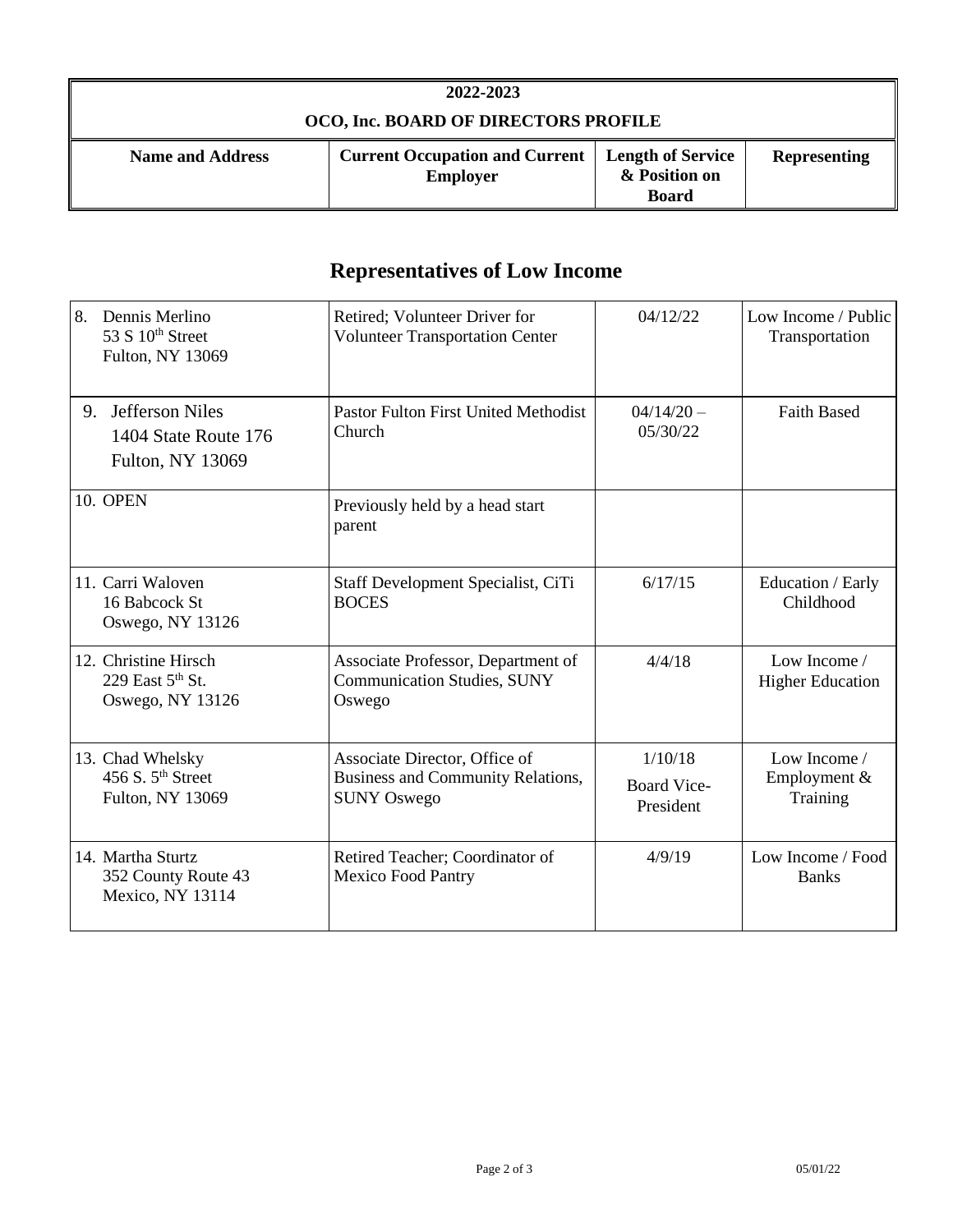| 2022-2023                            |                                                          |                                                           |                     |
|--------------------------------------|----------------------------------------------------------|-----------------------------------------------------------|---------------------|
| OCO, Inc. BOARD OF DIRECTORS PROFILE |                                                          |                                                           |                     |
| <b>Name and Address</b>              | <b>Current Occupation and Current</b><br><b>Employer</b> | <b>Length of Service</b><br>& Position on<br><b>Board</b> | <b>Representing</b> |

## **Representatives of Low Income**

| 8.<br>Dennis Merlino<br>53 S 10 <sup>th</sup> Street<br>Fulton, NY 13069        | Retired; Volunteer Driver for<br><b>Volunteer Transportation Center</b>                  | 04/12/22                                   | Low Income / Public<br>Transportation    |
|---------------------------------------------------------------------------------|------------------------------------------------------------------------------------------|--------------------------------------------|------------------------------------------|
| <b>Jefferson Niles</b><br>9.<br>1404 State Route 176<br><b>Fulton, NY 13069</b> | <b>Pastor Fulton First United Methodist</b><br>Church                                    | $04/14/20 -$<br>05/30/22                   | <b>Faith Based</b>                       |
| <b>10. OPEN</b>                                                                 | Previously held by a head start<br>parent                                                |                                            |                                          |
| 11. Carri Waloven<br>16 Babcock St<br>Oswego, NY 13126                          | Staff Development Specialist, CiTi<br><b>BOCES</b>                                       | 6/17/15                                    | Education / Early<br>Childhood           |
| 12. Christine Hirsch<br>229 East $5th$ St.<br>Oswego, NY 13126                  | Associate Professor, Department of<br><b>Communication Studies, SUNY</b><br>Oswego       | 4/4/18                                     | Low Income /<br><b>Higher Education</b>  |
| 13. Chad Whelsky<br>456 S. 5 <sup>th</sup> Street<br>Fulton, NY 13069           | Associate Director, Office of<br>Business and Community Relations,<br><b>SUNY Oswego</b> | 1/10/18<br><b>Board Vice-</b><br>President | Low Income /<br>Employment &<br>Training |
| 14. Martha Sturtz<br>352 County Route 43<br>Mexico, NY 13114                    | Retired Teacher; Coordinator of<br><b>Mexico Food Pantry</b>                             | 4/9/19                                     | Low Income / Food<br><b>Banks</b>        |